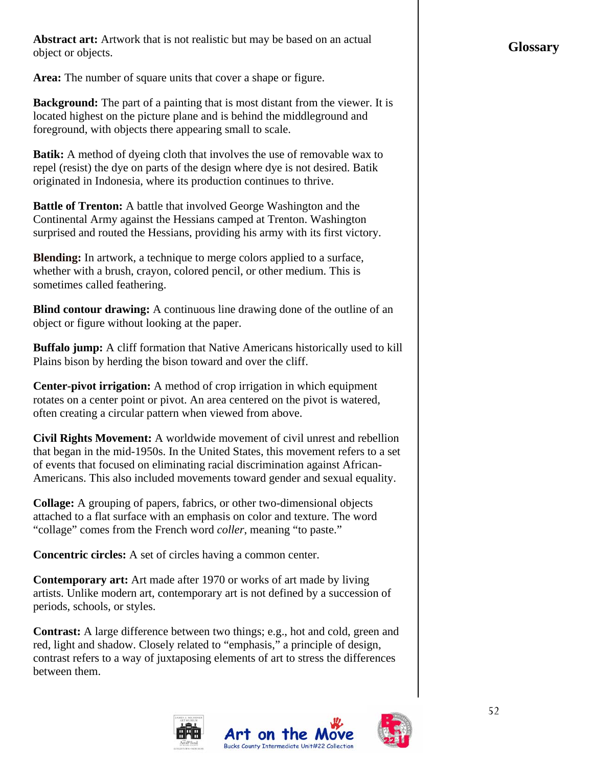**Abstract art:** Artwork that is not realistic but may be based on an actual object or objects.

**Area:** The number of square units that cover a shape or figure.

**Background:** The part of a painting that is most distant from the viewer. It is located highest on the picture plane and is behind the middleground and foreground, with objects there appearing small to scale.

**Batik:** A method of dyeing cloth that involves the use of removable wax to repel (resist) the dye on parts of the design where dye is not desired. Batik originated in Indonesia, where its production continues to thrive.

**Battle of Trenton:** A battle that involved George Washington and the Continental Army against the Hessians camped at Trenton. Washington surprised and routed the Hessians, providing his army with its first victory.

**Blending:** In artwork, a technique to merge [colors](http://www.artlex.com/ArtLex/c/color.html) applied to a [surface,](http://www.artlex.com/ArtLex/Su.html#anchor2312158) whether with a [brush](http://www.artlex.com/ArtLex/b/brush.html), [crayon,](http://www.artlex.com/ArtLex/Cp.html#anchor1864759) colored [pencil](http://www.artlex.com/ArtLex/Pas.html#anchor1042158), or other [medium](http://www.artlex.com/ArtLex/Me.html#anchor5914039). This is sometimes called [feathering.](http://www.artlex.com/ArtLex/f/feather.html)

**Blind contour drawing:** A continuous line drawing done of the outline of an object or figure without looking at the paper.

**Buffalo jump:** A cliff formation that Native Americans historically used to kill Plains bison by herding the bison toward and over the cliff.

**Center-pivot irrigation:** A method of crop irrigation in which equipment rotates on a center point or pivot. An area centered on the pivot is watered, often creating a circular pattern when viewed from above.

**Civil Rights Movement:** A worldwide movement of civil unrest and rebellion that began in the mid-1950s. In the United States, this movement refers to a set of events that focused on eliminating racial discrimination against African-Americans. This also included movements toward gender and sexual equality.

**Collage:** A grouping of papers, fabrics, or other two-dimensional objects attached to a flat surface with an emphasis on color and texture. The word "collage" comes from the French word *coller*, meaning "to paste."

**Concentric circles:** A set of circles having a common center.

**Contemporary art:** Art made after 1970 or works of art made by living artists. Unlike modern art, contemporary art is not defined by a succession of periods, schools, or styles.

**Contrast:** A large difference between two things; e.g., hot and cold, green and red, light and shadow. Closely related to "emphasis," a principle of design, contrast refers to a way of juxtaposing elements of art to stress the differences between them.

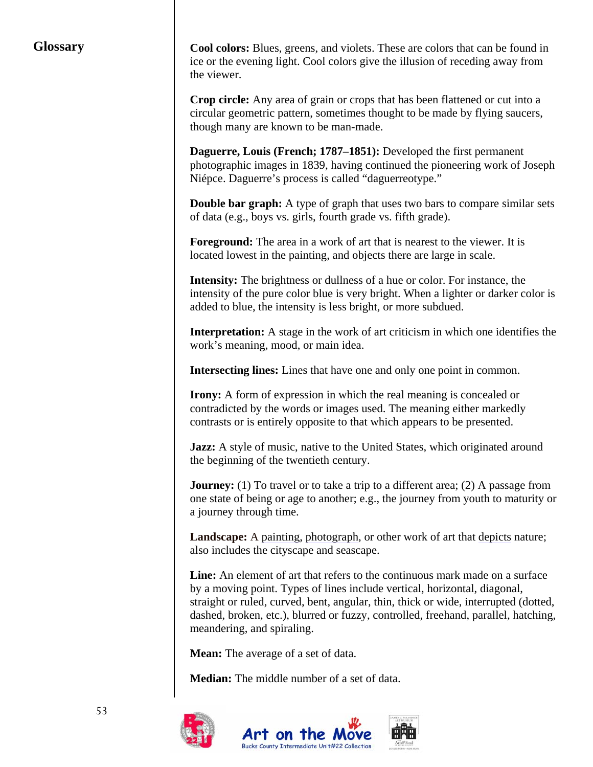## **Glossary**

**Cool colors:** Blues, greens, and violets. These are colors that can be found in ice or the evening light. Cool colors give the illusion of receding away from the viewer.

**Crop circle:** Any area of grain or crops that has been flattened or cut into a circular geometric pattern, sometimes thought to be made by flying saucers, though many are known to be man-made.

**Daguerre, Louis (French; 1787–1851):** Developed the first permanent photographic images in 1839, having continued the pioneering work of Joseph Niépce. Daguerre's process is called "daguerreotype."

**Double bar graph:** A type of graph that uses two bars to compare similar sets of data (e.g., boys vs. girls, fourth grade vs. fifth grade).

**Foreground:** The area in a work of art that is nearest to the viewer. It is located lowest in the painting, and objects there are large in scale.

**Intensity:** The [brightness](http://www.artlex.com/ArtLex/Bp.html#anchor1988152) or dullness of a [hue](http://www.artlex.com/ArtLex/Ho.html#anchor8080622) or [color](http://www.artlex.com/ArtLex/c/color.html). For instance, the intensity of the pure color blue is very bright. When a lighter or darker color is added to blue, the intensity is less bright, or more subdued.

**Interpretation:** A stage in the work of [art criticism](http://www.artlex.com/ArtLex/Art.html#anchor1304466) in which one identifies the work's [meaning,](http://www.artlex.com/ArtLex/Me.html#anchor7714039) mood, or main idea.

**Intersecting lines:** Lines that have one and only one point in common.

**Irony:** A form of expression in which the real meaning is concealed or contradicted by the words or images used. The meaning either markedly contrasts or is entirely opposite to that which appears to be presented.

**Jazz:** A style of music, native to the United States, which originated around the beginning of the twentieth century.

**Journey:** (1) To travel or to take a trip to a different area; (2) A passage from one state of being or age to another; e.g., the journey from youth to maturity or a journey through time.

**Landscape:** A [painting,](http://www.artlex.com/ArtLex/p/painting.html) [photograph](http://www.artlex.com/ArtLex/p/photography.html), or other work of art that [depicts](http://www.artlex.com/ArtLex/D.html#anchor1888622) nature; also includes the cityscape and seascape.

**Line:** An element of art that refers to the continuous mark made on a surface by a moving point. Types of lines include vertical, horizontal, diagonal, straight or ruled, curved, bent, angular, thin, thick or wide, interrupted (dotted, dashed, broken, etc.), blurred or fuzzy, controlled, freehand, parallel, hatching, meandering, and spiraling.

**Mean:** The average of a set of data.

**Median:** The middle number of a set of data.

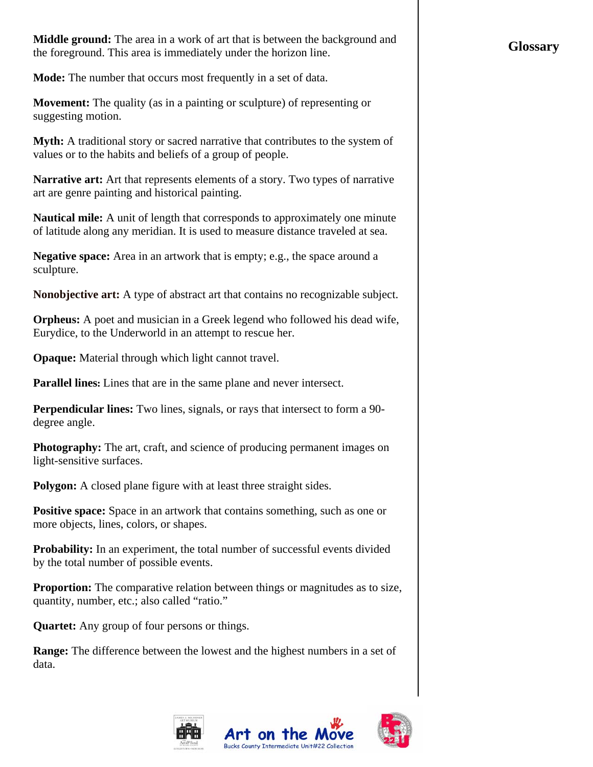**Middle ground:** The area in a work of art that is between the background and the foreground. This area is immediately under the horizon line.

**Mode:** The number that occurs most frequently in a set of data.

**Movement:** The quality (as in a painting or sculpture) of representing or suggesting motion.

**Myth:** A traditional story or sacred narrative that contributes to the system of values or to the habits and beliefs of a group of people.

**Narrative art:** Art that represents elements of a story. Two types of narrative art are genre painting and historical painting.

**Nautical mile:** A unit of [length](http://www.reference.com/browse/wiki/Length) that corresponds to approximately one [minute](http://www.reference.com/browse/wiki/Minute_of_arc) of [latitude](http://www.reference.com/browse/wiki/Latitude) along any [meridian.](http://www.reference.com/browse/wiki/Meridian_%28geography%29) It is used to measure distance traveled at sea.

**Negative space:** Area in an artwork that is empty; e.g., the space around a sculpture.

**Nonobjective art:** A type of abstract art that contains no recognizable subject.

**Orpheus:** A poet and musician in a Greek legend who followed his dead wife, Eurydice, to the Underworld in an attempt to rescue her.

**Opaque:** Material through which light cannot travel.

**Parallel lines:** Lines that are in the same plane and never intersect.

**Perpendicular lines:** Two lines, signals, or rays that intersect to form a 90 degree angle.

**Photography:** The art, craft, and science of producing permanent images on light-sensitive surfaces.

**Polygon:** A closed plane figure with at least three straight sides.

**Positive space:** Space in an artwork that contains something, such as one or more objects, lines, colors, or shapes.

**Probability:** In an experiment, the total number of successful events divided by the total number of possible events.

**Proportion:** The comparative relation between things or magnitudes as to size, quantity, number, etc.; also called "ratio."

**Quartet:** Any group of four persons or things.

**Range:** The difference between the lowest and the highest numbers in a set of data.



## **Glossary**

54